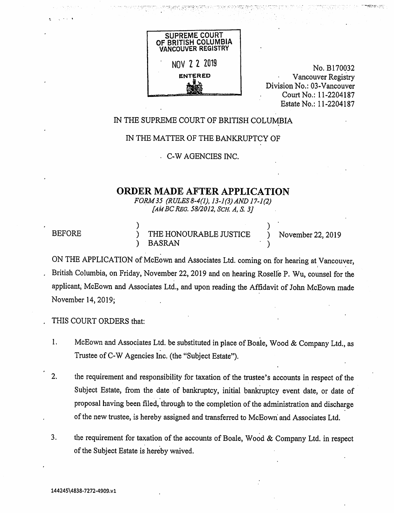

•

No. B170032 Vancouver Registry Division No.: 03-Vancouver Court No.: 11-2204187 Estate No.: 11-2204187

#### IN THE SUPREME COURT OF BRITISH COLUMBIA

#### IN THE MATTER OF THE BANKRUPTCY OF

• C-W AGENCIES INC.

## ORDER MADE AFTER APPLICATION

FORM 35 (RULES 8-4(1), 13-1(3) AND 17-1(2)  $[AM BC REG. 58/2012, SCH. A, S. 3]$ 

| <b>BEFORE</b> | THE HONOURABLE JUSTICE | November 22, 2019 |
|---------------|------------------------|-------------------|
|               | <b>BASRAN</b>          |                   |

ON THE APPLICATION of McEown and Associates Ltd. coming on for hearing at Vancouver, British Columbia, on Friday, November 22, 2019 and on hearing Roselle P. Wu, counsel for the applicant, McEown and Associates Ltd., and upon reading the Affidavit of John McEown made November 14, 2019;

, THIS COURT ORDERS that:

- 1. McEown and Associates Ltd. be substituted in place of Boale, Wood & Company Ltd., as Trustee of C-W Agencies Inc. (the "Subject Estate").
- 2. the requirement and responsibility for taxation of the trustee's accounts in respect of the Subject Estate, from the date of bankruptcy, initial bankruptcy event date, or date of proposal having been filed, through to the completion of the administration and discharge of the new trustee, is hereby assigned and transferred to McEown and Associates Ltd.
- 3. the requirement for taxation of the accounts of Boale, Wood & Company Ltd. in respect of the Subject Estate is hereby waived.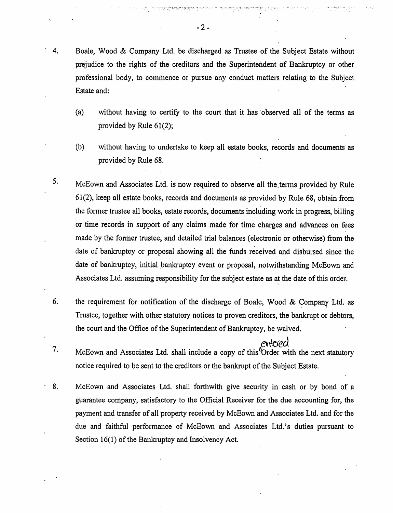- 4. Boale, Wood & Company Ltd. be discharged as Trustee of the Subject Estate without prejudice to the rights of the creditors and the Superintendent of Bankruptcy or other professional body, to commence or pursue any conduct matters relating to the Subject Estate and:
	- (a) without having to certify to the court that it has observed all of the terms as provided by Rule 61(2);
	- (b) without having to undertake to keep all estate books, records and documents as provided by Rule 68.
- 5. McEown and Associates Ltd. is now required to observe all the.terms provided by Rule 61(2), keep all estate books, records and documents as provided by Rule 68, obtain from the former trustee all books, estate records, documents inchiding work in progress, billing or time records in support of any claims made for time charges and advances on fees made by the former trustee, and detailed trial balances (electronic or otherwise) from the date of bankruptcy or proposal showing all the funds received and disbursed since the date of bankruptcy, initial bankruptcy event or proposal, notwithstanding McEown and Associates Ltd. assuming responsibility for the subject estate as at the date of this order.
- 6. the requirement for notification of the discharge of Boale, Wood & Company Ltd. as Trustee, together with other statutory notices to proven creditors, the bankrupt or debtors, the court and the Office of the Superintendent of Bankruptcy, be waived.
- entered 7. McEown and Associates Ltd. shall include a copy of this Order with the next statutory notice required to be sent to the creditors or the bankrupt of the Subject Estate.
- 8. McEown and Associates Ltd. shall forthwith give security in cash or by bond of a guarantee company, satisfactory to the Official Receiver for the due accounting for, the payment and transfer of all property received by McEown and Associates Ltd. and for the due and faithful performance of McEown and Associates Ltd.'s duties pursuant to Section 16(1) of the Bankruptcy and Insolvency Act.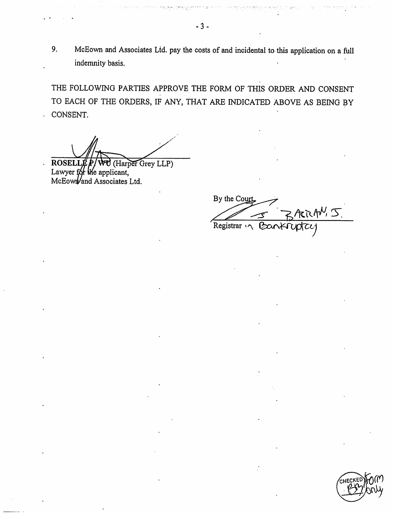9. McEown and Associates Ltd. pay the costs of and incidental to this application on a full indemnity basis.

THE FOLLOWING PARTIES APPROVE THE FORM OF THIS ORDER AND CONSENT TO EACH OF THE ORDERS, IF ANY, THAT ARE INDICATED ABOVE AS BEING BY CONSENT.

**ROSEI** Harper Grey LLP) Lawyer for the applicant, McEown and Associates Ltd.

 $\ddot{\phantom{0}}$ 

By the Court RRANS Registrar '